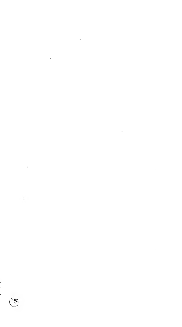$\mathcal{L}^{\text{max}}_{\text{max}}$  $\mathcal{L}^{\text{max}}_{\text{max}}$  , where  $\mathcal{L}^{\text{max}}_{\text{max}}$  $\mathcal{L}(\mathcal{L})$  and  $\mathcal{L}(\mathcal{L})$  $\ddot{\phantom{0}}$  $\mathcal{L}_{\text{max}}$  .  $\sim 10^{-11}$  $\mathcal{L}^{\text{max}}_{\text{max}}$  ,  $\mathcal{L}^{\text{max}}_{\text{max}}$  $\left( \begin{array}{c} \mathbf{e} \end{array} \right)$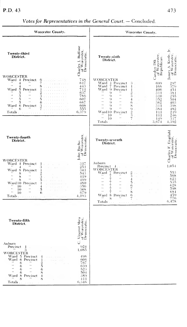**P.D.** 43 473

| Worcester County.                                                                                                                                                                                                                                                                                                                                                                                                   |                                                                                                                           | Worcester County.                                                                                                                                                                                                                                                                                                                                                                                                                                                                                                                                                                                                                                      |                                                                                                          |  |
|---------------------------------------------------------------------------------------------------------------------------------------------------------------------------------------------------------------------------------------------------------------------------------------------------------------------------------------------------------------------------------------------------------------------|---------------------------------------------------------------------------------------------------------------------------|--------------------------------------------------------------------------------------------------------------------------------------------------------------------------------------------------------------------------------------------------------------------------------------------------------------------------------------------------------------------------------------------------------------------------------------------------------------------------------------------------------------------------------------------------------------------------------------------------------------------------------------------------------|----------------------------------------------------------------------------------------------------------|--|
| Twenty-third<br>District.                                                                                                                                                                                                                                                                                                                                                                                           | Charles J. Buffone<br>of Worcester,<br>Democratic.                                                                        | Carolyn Dik<br>of Worcester,<br>Republican.<br>Twenty-sixth<br>District.                                                                                                                                                                                                                                                                                                                                                                                                                                                                                                                                                                               | James A. Keefe, Jr.<br>of Worcester,<br>Democratic.                                                      |  |
| WORCESTER<br>Ward $\frac{4}{4}$ Precinct<br>6<br>7<br>8<br>Ward<br>$\frac{5}{5}$ Precinct<br>$\frac{5}{5}$<br>$\mathbf{l}$<br>$\frac{2}{3}$<br>$\ddot{\phantom{a}}$<br>$\ddot{\phantom{a}}$<br>$\ddot{\phantom{a}}$<br>$\ddot{\phantom{a}}$<br>.<br>5<br>6<br>Ward 6 Precinct<br>a sa sa sa Santan<br>6<br>Totals<br>a construction of the construction of the<br>$\mathcal{L}^{\mathcal{L}}$                       | 748<br>617<br>$\frac{443}{711}$<br>637<br>786<br>607<br>667<br>608<br>555<br>6,379                                        | <b>WORCESTER</b><br>Ward 1 Precinct<br>Ward 7 Precinct<br>699<br>-3<br>J.<br>Precinct<br>1<br>168<br>$\cdot$<br>Ward 9 Precinct<br>$\bf{l}$<br>406<br>9<br>$\overline{2}$<br>311<br>$\ddot{\phantom{a}}$<br>$\sim$ $\epsilon$<br>3<br>9<br>310<br>$\epsilon$<br>$\ddot{\phantom{a}}$<br>$\ddot{\phantom{a}}$<br>352<br>9<br>4<br>i.<br>$\ddot{\phantom{a}}$<br>362<br>9<br>6<br>$\ddot{\phantom{a}}$<br>$\epsilon$<br>9<br>8<br>311<br>$\sim$ $\epsilon$<br>$\epsilon$ .<br>9<br>9<br>384<br>$\overline{2}$<br>Ward 10 Precinct<br>111<br>$\frac{5}{7}$<br>10<br>111<br>$\ddot{\phantom{a}}$<br>i.<br>10<br>149<br>Totals<br>3,674<br>provide a series | 297<br>$\bar{3}79$<br>451<br>381<br>255<br>504<br>463<br>398<br>482<br>219<br>$\frac{546}{317}$<br>4,392 |  |
| Twenty-fourth<br>District.                                                                                                                                                                                                                                                                                                                                                                                          | John Rucho<br>of Worcester,<br>Democratic.                                                                                | Twenty-seventh<br>District.                                                                                                                                                                                                                                                                                                                                                                                                                                                                                                                                                                                                                            | Charles F. Engdahl<br>of Worcester,<br>Democratic.                                                       |  |
| WORCESTER<br>Ward 4 Precinct<br>1<br>3<br>4<br>8 Precinct<br>Ward<br>1<br>$\frac{5}{3}$<br>8<br>$\ddot{\phantom{a}}$<br>$\ddot{\phantom{a}}$<br>8<br>i.<br>i.<br>5<br>8<br>Ward 10 Precinct<br>l<br>10<br>H<br>4<br>5<br>10<br>$1 - 11 - 1$<br>i.<br>i.<br>10<br>6<br>$Totals$<br>$\alpha = 1, \ldots, N$<br>$\sim 10^{-1}$<br><b>CONTRACTOR</b>                                                                    | 317<br>251<br>341<br>543<br>419<br>499<br>480<br>356<br>308<br>679<br>4,193                                               | Auburn<br>Precinct<br>$\overline{4}$<br>$\frac{2}{3}$<br>×.<br>$\chi^2$ and<br>s<br>$\overline{4}$<br>5<br>6<br>$\frac{7}{8}$<br>Y.<br>6<br>Ward 8<br>Precinct<br>$\cdot$<br>8<br>7<br>$Totals$<br>$\sim$<br>a constructo                                                                                                                                                                                                                                                                                                                                                                                                                              | 1,054<br>553<br>568<br>623<br>535<br>628<br>598<br>684<br>459<br>776<br>6,478                            |  |
| Twenty-fifth<br>District.<br>Auburn<br>Precinct<br>$\frac{1}{3}$<br>o.<br>WORCESTER<br>Ward 5 Precinct<br>4<br>Ward 6 Precinct<br>1<br>$1 - 1 = -10$<br>$\frac{5}{5}$<br>$\sim$<br>6<br>ç,<br>$\ddot{\phantom{a}}$<br>6<br>$\ddot{\phantom{a}}$<br>$\ddot{\phantom{a}}$<br>6<br>6<br>$\ddot{\phantom{a}}$<br>$\ddot{\phantom{a}}$<br>6<br>8<br>Ward $\frac{8}{8}$<br>Precinct<br>$\overline{4}$<br>8<br>$8^{\circ}$ | Vincent Shea<br>of Worcester,<br>Democratic.<br>Ġ<br>924<br>1,085<br>498<br>606<br>767<br>639<br>523<br>504<br>389<br>411 |                                                                                                                                                                                                                                                                                                                                                                                                                                                                                                                                                                                                                                                        |                                                                                                          |  |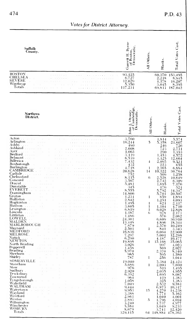## Votes for District Attorney.

| Suffolk<br>County.                                                                                                                                                                   |                                               | Ê | Blank                                       | Votes<br>त                                     |
|--------------------------------------------------------------------------------------------------------------------------------------------------------------------------------------|-----------------------------------------------|---|---------------------------------------------|------------------------------------------------|
| <b>BOSTON</b><br><b>CHELSEA</b><br>a company of the company<br><b>REVERE</b><br>and a state<br>Winthrop<br>. <i>.</i><br>Totals.<br>the contract of the state of the contract of the | 93,125<br>6,727<br>12,029<br>5.350<br>117.231 |   | 60,370<br>2,218<br>4.178<br>3,045<br>69,811 | 153,495<br>8,945<br>16,207<br>8,395<br>187,042 |

| Northern<br>District.                                                                                                                                                                                                                                                                                                                                                                                                                                                                                                                                                                                                                                                                                                                                                                                                                                                                                                                                                                                                                                                                                                                                                                                                                                                                                                                                                                                                                                                                                                                                                                                                                                                                                                                                                                                                                                                                                                                                                                                                                                                                                                                                                                                                                                                                                                                | L. I roney<br>Democratic<br><b>Cambrid</b><br>John<br>F                                                                                                                                                                                                                                                                                                                                                                                                             | All Others                                                                                     | Blanks.                                                                                                                                                                                                                                                                                                                                                                                                                                   | Total Votes Cas                                                                                                                                                                                                                                                                                                                                                                                                                                                                  |
|--------------------------------------------------------------------------------------------------------------------------------------------------------------------------------------------------------------------------------------------------------------------------------------------------------------------------------------------------------------------------------------------------------------------------------------------------------------------------------------------------------------------------------------------------------------------------------------------------------------------------------------------------------------------------------------------------------------------------------------------------------------------------------------------------------------------------------------------------------------------------------------------------------------------------------------------------------------------------------------------------------------------------------------------------------------------------------------------------------------------------------------------------------------------------------------------------------------------------------------------------------------------------------------------------------------------------------------------------------------------------------------------------------------------------------------------------------------------------------------------------------------------------------------------------------------------------------------------------------------------------------------------------------------------------------------------------------------------------------------------------------------------------------------------------------------------------------------------------------------------------------------------------------------------------------------------------------------------------------------------------------------------------------------------------------------------------------------------------------------------------------------------------------------------------------------------------------------------------------------------------------------------------------------------------------------------------------------|---------------------------------------------------------------------------------------------------------------------------------------------------------------------------------------------------------------------------------------------------------------------------------------------------------------------------------------------------------------------------------------------------------------------------------------------------------------------|------------------------------------------------------------------------------------------------|-------------------------------------------------------------------------------------------------------------------------------------------------------------------------------------------------------------------------------------------------------------------------------------------------------------------------------------------------------------------------------------------------------------------------------------------|----------------------------------------------------------------------------------------------------------------------------------------------------------------------------------------------------------------------------------------------------------------------------------------------------------------------------------------------------------------------------------------------------------------------------------------------------------------------------------|
| Acton<br>$x = x = -1, x = -2, 2, 3, 4$<br>Victoria de<br>Arlington<br>the control of<br>Ashland<br>$\mathcal{L}(\mathcal{L})$<br>Bedford <b>Bedford</b><br>in a component consideration and the<br>Belmont.<br>the contract of the company of the<br>The common contract of the common common<br>Boxborough<br>the company of the company of the com-<br>Burlington.<br>CAMBRIDGE .<br>Carlisle<br>Chelmsford<br><b>The Committee Committee</b><br>$Concord$<br><b>The commission of the commission</b><br>Dracut<br>the control of the control of the control of the control of the control of the control of the control of the control of the control of the control of the control of the control of the control of the control of the control<br>Dunstable<br>All College College<br>$\begin{array}{ll} 0 & \text{if} & \text{if} & \text{if} & \text{if} & \text{if} \\ 0 & \text{if} & \text{if} & \text{if} & \text{if} & \text{if} \\ 0 & \text{if} & \text{if} & \text{if} & \text{if} & \text{if} \end{array}$<br>Eduard College<br>EVERETT<br><b>The Experience</b><br>Framingham<br>de de San Arabica de la contra de la califación de la califación de la califación de la califación de la califación de la califación de la califación de la califación de la califación de la califación de la califación de l<br>Groton .<br>.<br>$\times$ $-$<br><b>Contractor</b><br>Holliston<br>a basic community<br>W.<br>Hopkinton<br>the contract of a state and contract<br>Hudson<br>$x - 12 - 1$<br>and a state of the<br>$\sim$<br>Lexington $\ldots$<br>. <i>.</i> .<br>$Lineofn$<br>and a strain star<br>Littleton<br>LOWELL<br>MALDEN<br>MALDEN<br>MARLBOROUGH<br>and a series and series<br>and and a state of<br>Mavnard<br><b>Service</b><br>$-2x - 11x - 1$<br>MEDFORD<br>$\sim$ 10 $\mu$<br>2010/07/07<br><b>College</b><br>The company's<br>MELROSE.<br><b>COLLECT</b><br>.<br>Natick<br>the contract of the con-<br>NEWTON<br>The control of the con-<br>single control of the<br>North Reading<br>and a state<br>Pepperell<br>Reading.<br><b>Sherborn</b><br>The Control of the<br>$-1$<br>.<br>Shirley .<br>SOMERVILLE<br>Stoneham<br>$V = V$<br>Stow<br>Sudbury.<br>Tewksburv<br>Townsend<br>Tyngsborough .<br>Wakefield<br>and a state of the<br>WALTHAM<br>Watertown<br>Wayland.<br>Westford<br>Weston . | 3,760<br>16.244<br>480<br>$2.008\,$<br>1.063<br>3.119<br>8,539<br>7,432<br>432<br>4.718<br>20.628<br>752<br>8,115<br>3,567<br>5.481<br>345<br>8,555<br>14,806<br>1.234<br>2.842<br>1.495<br>3,605<br>6.819<br>1.187<br>1.486<br>24.301<br>13.448<br>7.679<br>2,501<br>16.836<br>7,297<br>6,290<br>19,898<br>3.026<br>1.458<br>5,970<br>985<br>787<br>19.040<br>5,686<br>976<br>2.920<br>6.392<br>964<br>1.058<br>7.049<br>9.444<br>9.953<br>3.388<br>2.961<br>2.893 | 5<br>$\overline{4}$<br>1<br>$1-1$<br>6<br>I<br>I<br>ı<br>ľ<br>6<br>1<br>1<br>ľ<br>1<br>15<br>5 | 1.814<br>5,358<br>246<br>723<br>290<br>1.453<br>4,125<br>2.095<br>223<br>2.165<br>10.122<br>506<br>э<br>.528<br>2,742<br>1.695<br>176<br>5,792<br>5.701<br>659<br>1.251<br>621<br>1.104<br>6,028<br>978<br>576<br>6,609<br>4,896<br>2,570<br>841<br>6.064<br>5,001<br>4.187<br>15.166<br>997<br>569<br>2,370<br>595<br>256<br>5.384<br>2,003<br>519<br>2.035<br>1,695<br>419<br>325<br>2.532<br>6,873<br>4,270<br>1,774<br>1.040<br>1.796 | 5,574<br>21,607<br>726<br>731<br>1.353<br>4.572<br>12,664<br>9.531<br>655<br>6.884<br>30,764<br>1.258<br>10,649<br>6,309<br>7.176<br>521<br>14.347<br>20.507<br>1.894<br>4.093<br>2.117<br>4.710<br>12,848<br>2.171<br>2,062<br>30.910<br>18.344<br>10.249<br>3.343<br>22.900<br>12,298<br>10,477<br>35.065<br>4.023<br>2.027<br>8.340<br>1.580<br>1,044<br>24.424<br>7.690<br>1,495<br>4.955<br>8.087<br>1.383<br>1.383<br>9,581<br>16,317<br>14.238<br>5,162<br>4,001<br>4.694 |
| Wilmington<br>Winchester<br>WOBURN<br>Totals.                                                                                                                                                                                                                                                                                                                                                                                                                                                                                                                                                                                                                                                                                                                                                                                                                                                                                                                                                                                                                                                                                                                                                                                                                                                                                                                                                                                                                                                                                                                                                                                                                                                                                                                                                                                                                                                                                                                                                                                                                                                                                                                                                                                                                                                                                        | 3.240<br>5,584<br>8.679<br>329,415                                                                                                                                                                                                                                                                                                                                                                                                                                  | 64                                                                                             | 1,737<br>3.649<br>3,741<br>148,884                                                                                                                                                                                                                                                                                                                                                                                                        | 4.977<br>9.233<br>12.420<br>478,363                                                                                                                                                                                                                                                                                                                                                                                                                                              |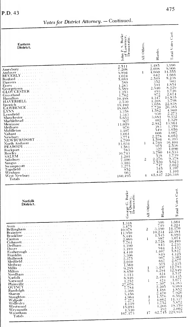P.D. 43

# Votes for District Attorney. - Continued.

| Eastern<br>District.                                                                                                                                                                                                                                                                                                                                                                                                                                                                                               | S. Burke<br>Lawrence,<br>Democratic.<br>John P.<br>F                                                                                                                                                                                                                                                                           | All Others.                               | Blanks                                                                                                                                                                                                                                                                                        | Total Votes Cast                                                                                                                                                                                                                                                                                                               |
|--------------------------------------------------------------------------------------------------------------------------------------------------------------------------------------------------------------------------------------------------------------------------------------------------------------------------------------------------------------------------------------------------------------------------------------------------------------------------------------------------------------------|--------------------------------------------------------------------------------------------------------------------------------------------------------------------------------------------------------------------------------------------------------------------------------------------------------------------------------|-------------------------------------------|-----------------------------------------------------------------------------------------------------------------------------------------------------------------------------------------------------------------------------------------------------------------------------------------------|--------------------------------------------------------------------------------------------------------------------------------------------------------------------------------------------------------------------------------------------------------------------------------------------------------------------------------|
| Amesbury<br>Amdover<br>BEVERLY<br>BEVERLY<br>Beneretown<br>Cacoretown<br>Cacoretown<br>Grovelland<br>Grovelland<br>HAWERFHILL<br>LAWERFNICE<br>LAWERFNICE<br>LAWERFNICE<br>Manhelend<br>Methuen<br>Mandott<br>Methuen<br>Mandott<br>Methuen<br>Mando<br>$\sim$                                                                                                                                                                                                                                                     | $^{2,511}_{7,208}$<br>9.894<br>1.024<br>5,689<br>589<br>1,263<br>5,589<br>1.253<br>1,702<br>10,488<br>2,530<br>19.180<br>18,665<br>3,358<br>1,343<br>5,651<br>927<br>11,019<br>976<br>1.107<br>1.061<br>3,774<br>4,799<br>11,634<br>1,561<br>$\frac{763}{10,743}$<br>1,201<br>7,100<br>3.103<br>1,275<br>852<br>663<br>160,495 | 1<br>1<br>$\overline{2}$<br>$\frac{1}{2}$ | 1.485<br>2.698<br>4,660<br>642<br>2.549<br>352<br>591<br>2.540<br>493<br>972<br>4,347<br>1.268<br>3,658<br>$^{7,720}$<br>1,582<br>930<br>3,681<br>402<br>2.942<br>383<br>549<br>606<br>2.278<br>1,594<br>4,769<br>975<br>327<br>3,790<br>538<br>2.276<br>2,520<br>747<br>545<br>438<br>65,847 | 3,996<br>9,906<br>14,555<br>1,666<br>8,238<br>941<br>1,854<br>8,129<br>1,746<br>2,674<br>14,835<br>3,798<br>22,838<br>26,385<br>4,940<br>2,273<br>9,332<br>1,329<br>13,961<br>1,359<br>1,656<br>1,667<br>6,052<br>6,393<br>16,404<br>2,536<br>1,090<br>14,533<br>1,739<br>9,378<br>5.623<br>2,022<br>1,397<br>1,101<br>226,346 |
| Norfolk<br>District.                                                                                                                                                                                                                                                                                                                                                                                                                                                                                               | George G. Burke<br>of Quincy,<br>Democratic.                                                                                                                                                                                                                                                                                   | All Others                                | Blank                                                                                                                                                                                                                                                                                         | Total Votes Cast                                                                                                                                                                                                                                                                                                               |
| Avon<br>Braintre<br>Braintre<br>Braokline<br>Cochasset<br>Cochasset<br>Dover<br>Dover<br>Power<br>Franklin<br>Holbrook<br>Hedway<br>Middle Medway<br>Medway<br>Middle Medway<br>Medway<br>Middle Medway<br>Medway<br>Middle Medway<br>Middle Medway<br>Middle Medway<br><br>veedham<br>Norfolk The Communication of the Communication<br>Norvola<br>Namvall<br>Plainville<br>Randolph<br>Randolph<br>Sharon<br>Sharon<br>Walpole<br>Weymouth<br>Westwood<br>Weymouth<br>Weymouth<br>Totals<br>That The Totals<br>× | 1,318<br>3,475<br>10,978<br>11,950<br>5,448<br>2,086<br>7,761<br>1,390<br>3,189<br>4,410<br>3,306<br>2,375<br>2,010<br>1,560<br>9,295<br>8.650<br>1,113<br>8,946<br>1,252<br>27,076<br>7,784<br>3,366<br>5,456<br>4,984<br>7,273<br>4,119<br>15,093<br>1,510<br>167,173                                                        | 2<br>ı<br>ı<br>5<br>17                    | 346<br>749<br>3,190<br>10,234<br>1,545<br>987<br>$2{,}728$<br>843<br>944<br>1,407<br>819<br>967<br>667<br>575<br>3,497<br>4,294<br>424<br>2,489<br>$-424$<br>1<br>7,307<br>2,205<br>1,486<br>2,470<br>1,576<br>4<br>4,062<br>2<br>1,752<br>$\mathbf{I}$<br>4,266<br>-192                      | 1,664<br>4,224<br>14,170<br>22,184<br>6,993<br>3,074<br>10,489<br>2.233<br>4,133<br>5,817<br>4.125<br>3,342<br>2,677<br>2,135<br>12.793<br>12,949<br>1.537<br>11,435<br>1,677<br>34,383<br>9,989<br>4,852<br>7,926<br>6,564<br>11,337<br>5,872<br>19,359<br>2.002<br>62,745 229,935                                            |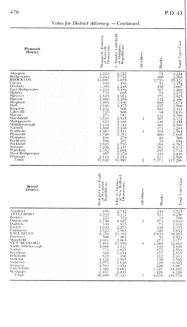| Plymouth<br>District.                                                                                                                                                                                                                                                                                                                                                                                                                                                       |                                                                                                                                                                                              | Thomas E. Finnerty<br>of Norwell,<br>Democratic.                                                                                                                                                                                                                          | Stanley Littlefield<br>of Abington,<br>Republican,<br>k,                                                                                                                                                                                                                    | All Others.              | Blanks.                                                                                                                                                                                                                                        | Total Votes Cast.                                                                                                                                                                                                                                                                                                                                 |
|-----------------------------------------------------------------------------------------------------------------------------------------------------------------------------------------------------------------------------------------------------------------------------------------------------------------------------------------------------------------------------------------------------------------------------------------------------------------------------|----------------------------------------------------------------------------------------------------------------------------------------------------------------------------------------------|---------------------------------------------------------------------------------------------------------------------------------------------------------------------------------------------------------------------------------------------------------------------------|-----------------------------------------------------------------------------------------------------------------------------------------------------------------------------------------------------------------------------------------------------------------------------|--------------------------|------------------------------------------------------------------------------------------------------------------------------------------------------------------------------------------------------------------------------------------------|---------------------------------------------------------------------------------------------------------------------------------------------------------------------------------------------------------------------------------------------------------------------------------------------------------------------------------------------------|
| Abington<br>Bridgewater<br>BROCKTON<br>Carver<br>Duxbury<br>East Bridgewater<br>Halifax<br>$\bar{L}$<br>Hanover<br>Hanson<br>Hingham<br>Hull<br>$\approx 2$<br>Kingston<br>Kingston<br>Lakeville<br>Marion<br>Marshfield<br>Mattapoisett.<br>Middleborough<br>Norwell<br>$\mathcal{L}(\mathcal{A})$ . The $\mathcal{L}(\mathcal{A})$<br>Pembroke<br>Plymouth<br>Plympton<br>Rochester<br>Rockland<br>Scituate<br>Wareham<br>West Bridgewater<br>Whitman New York<br>Totals. | and a series<br>$\chi$<br>÷.<br>$\begin{array}{ccc} \ast & \circ & \circ \\ \ast & \circ & \circ \\ \end{array}$<br>$\hat{\mathbf{v}}$<br>×<br>$\chi$<br>$\mathcal{X}$ is $\mathcal{X}$<br>R | 1,424<br>$\frac{2,244}{13,687}$<br>610<br>1,369<br>$1,412$<br>$731$<br>$1,829$<br>$1,080$<br>$3,489$<br>2,148<br>1,132<br>715<br>473<br>3,519<br>821<br>2,144<br>1,560<br>$\frac{1,903}{3,706}$<br>198<br>288<br>2,625<br>$3,290$<br>$2,352$<br>$957$<br>2, 114<br>57,820 | $\frac{2,722}{1,722}$<br>9,678<br>$\frac{193}{2,248}$<br>1,489<br>665<br>$^{1,924}_{1,268}$<br>3,499<br>1,175<br>906<br>806<br>781<br>2,545<br>1,186<br>2,144<br>1,468<br>1,511<br>3,183<br>279<br>367<br>1,793<br>$\frac{2.457}{2.085}$<br>$\frac{1,370}{2,223}$<br>51,987 | 1<br>ı<br>$\overline{2}$ | 78<br>300<br>$\frac{1,759}{51}$<br>190<br>307<br>$\frac{79}{72}$<br>$\frac{172}{112}$<br>$\frac{686}{237}$<br>103<br>98<br>132<br>307<br>148<br>301<br>173<br>169<br>806<br>$\frac{29}{39}$<br>164<br>384<br>297<br>119<br>$\frac{231}{7,471}$ | $4,224$<br>$4,266$<br>$25,124$<br>$1,154$<br>$3,807$<br>$3,208$<br>$1,475$<br>$3,925$<br>$3,925$<br>$\frac{2,460}{7,674}$<br>$3,560$<br>$2,141$<br>$\begin{array}{c} 1,619 \\ 1,386 \\ 6,372 \end{array}$<br>$\frac{2.155}{4.589}$<br>3,201<br>3,584<br>7,695<br>506<br>694<br>4,582<br>$\frac{6,131}{4,731}$<br>$\frac{2,446}{4,568}$<br>117,280 |
| Bristol<br>District.                                                                                                                                                                                                                                                                                                                                                                                                                                                        |                                                                                                                                                                                              | Richard Cary Paull<br>of Westport,<br>Republican,                                                                                                                                                                                                                         | John A. Tierney<br>of New Bedford,<br>Democratic,                                                                                                                                                                                                                           | All Others.              | <b>Blanks</b>                                                                                                                                                                                                                                  | Total Votes Cast                                                                                                                                                                                                                                                                                                                                  |
| Acushnet<br>ATTLEBORO<br>Berkley<br>Dartmouth<br>Dighton<br>Easton.<br>Fairhaven<br>FALL RIVER<br>Freetown<br>Mansfield<br><b>NEW BEDFORD</b><br>North Attlehorough<br>Norton<br>Raynham<br>Rehoboth<br>Seekonk<br>Somerset<br>Swansea<br>TAUNTON<br>Westport<br>Totals                                                                                                                                                                                                     |                                                                                                                                                                                              | 698<br>2,585<br>$2,\frac{555}{790}$<br>530<br>1,692<br>$\frac{1,525}{6,354}$<br>506<br>1,041<br>7,461<br>$\frac{1,986}{774}$<br>$\begin{array}{r} 948 \\ 825 \\ 1,421 \\ 1,975 \end{array}$<br>1,593<br>3,302<br>2,183<br>0.108                                           | $\frac{2,712}{5,132}$<br>329<br>4,947<br>$\frac{835}{2,273}$<br>3,983<br>21,192<br>964<br>2,065<br>23,956<br>3,413<br>1,635<br>1.454<br>996<br>1,995<br>4,610<br>3,154<br>9,663<br>$\frac{2,015}{97,323}$                                                                   | I<br>$\ddagger$          | 115<br>533<br>-39<br>$\frac{274}{74}$<br>410<br>346<br>2,639<br>$-54$<br>271<br>1,260<br>410<br>175<br>177<br>112<br>130<br>340<br>220<br>$\frac{1,327}{128}$<br>021                                                                           | $\begin{array}{c} 3,525 \\ 8,250 \\ 590 \end{array}$<br>8,012<br>$1,439$<br>$1,4375$<br>$5,851$<br>$30,185$<br>$1,524$<br>$2,277$<br>3,377<br>32,681<br>5,809<br>$\frac{2,584}{2,579}$<br>1,933<br>3,546<br>$6,925$<br>$4,967$<br>$14,292$<br>$4,326$<br>$46,770$                                                                                 |

#### Votes for District Attorney. - Continued.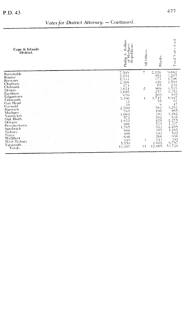## Votes for District Attorney. — Continued.

| Cape & Islands<br>District.                                                                                                                                                                                                                                                                                                                                                                                        | s.<br>kollin<br>publ<br>Philip                                                                                                                                                                          | All Others                                  | Blanks                                                                                                                                                                                 | Total Votes Cast.                                                                                                                                                                                 |
|--------------------------------------------------------------------------------------------------------------------------------------------------------------------------------------------------------------------------------------------------------------------------------------------------------------------------------------------------------------------------------------------------------------------|---------------------------------------------------------------------------------------------------------------------------------------------------------------------------------------------------------|---------------------------------------------|----------------------------------------------------------------------------------------------------------------------------------------------------------------------------------------|---------------------------------------------------------------------------------------------------------------------------------------------------------------------------------------------------|
| Barnstable<br>Bourne<br>Brewster.<br>The Committee of<br>Chatham.<br>Chilmark<br>Dennis<br>Eastham<br>Edgartown<br>Falmouth.<br>Gay Head<br>Gosnold<br>Harwich<br>Mashpee<br>$\sim$<br>Nantucket<br>Oak Bluffs<br>Orleans<br>$\sim$ .<br>Provincetown<br>Sandwich<br>Tisbury<br>$\sim$ $\sim$<br>Truro<br>$\sim$<br>- 1<br>Wellfleet<br>$\mathbb{R}^2$<br>With the<br>West Tisbury<br>$\sim$<br>Yarmouth<br>Totals | 7,549<br>$\frac{2,294}{1,331}$<br>2.168<br>174<br>3,624<br>1,095<br>670<br>5,196<br>32<br>39<br>2,709<br>785<br>1,089<br>572<br>1,851<br>806<br>1,765<br>560<br>$-400$<br>690<br>249<br>5,159<br>41,107 | T<br>$\overline{2}$<br>$\overline{a}$<br>14 | 2,126<br>991<br>375<br>426<br>65<br>909<br>257<br>269<br>1.747<br>55<br>$\mathfrak{S}$<br>582<br>180<br>393<br>262<br>424<br>531<br>523<br>305<br>142<br>266<br>141<br>1,628<br>12,605 | 9,682<br>3,285<br>1,706<br>2,594<br>239<br>4,535<br>1,352<br>939<br>6.947<br>S7<br>47<br>3,291<br>965<br>1,482<br>834<br>2,275<br>1,337<br>2,288<br>1.165<br>542<br>956<br>391<br>6,787<br>53,726 |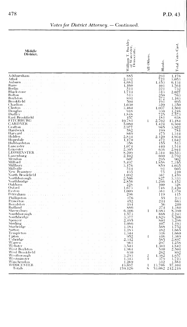| 478                 |                                           | P.D. 43     |
|---------------------|-------------------------------------------|-------------|
|                     | Votes for District Attorney. - Continued. |             |
| Middle<br>District. | ,<br>Š                                    | á<br>ē<br>3 |

| <br>District.                                         |                                                                                                                                                                                                                                                                                                              | of Worces<br>William T | Total Votes<br>All Others.<br>Blanks.                   |
|-------------------------------------------------------|--------------------------------------------------------------------------------------------------------------------------------------------------------------------------------------------------------------------------------------------------------------------------------------------------------------|------------------------|---------------------------------------------------------|
| Asmourunam<br>Athol - Anna ann an Aonaichte<br>Auburn | $\sim$<br>$\sim 10^{-1}$<br>¥                                                                                                                                                                                                                                                                                | 885<br>2,332           | 291<br>1.176<br>721<br>3.053                            |
|                                                       |                                                                                                                                                                                                                                                                                                              | 4,681                  | 1,453<br>6.134                                          |
|                                                       |                                                                                                                                                                                                                                                                                                              | 1,160                  | 401<br>1,561                                            |
|                                                       |                                                                                                                                                                                                                                                                                                              | -511<br>1,714          | 221<br>-732<br>313<br>2.027                             |
|                                                       |                                                                                                                                                                                                                                                                                                              | -513                   | 250<br>763                                              |
|                                                       |                                                                                                                                                                                                                                                                                                              | 891                    | 272<br>1.163                                            |
|                                                       |                                                                                                                                                                                                                                                                                                              | 504                    | 191<br>695                                              |
|                                                       |                                                                                                                                                                                                                                                                                                              | 1,030<br>3.464         | 320<br>1.350<br>1,037<br>$-1.501$                       |
|                                                       |                                                                                                                                                                                                                                                                                                              | 918                    | 330<br>1,248                                            |
|                                                       |                                                                                                                                                                                                                                                                                                              | 1.848                  | 725<br>2,573                                            |
|                                                       |                                                                                                                                                                                                                                                                                                              | - 457                  | 181<br>-638                                             |
|                                                       |                                                                                                                                                                                                                                                                                                              | 10.781<br>5,080        | $\mathbf{I}$<br>2,702<br>13.484<br>1.424<br>6.504       |
|                                                       |                                                                                                                                                                                                                                                                                                              | 2,977                  | 945<br>3,922                                            |
|                                                       |                                                                                                                                                                                                                                                                                                              | - 582                  | 199<br>781                                              |
|                                                       |                                                                                                                                                                                                                                                                                                              | 869<br>2,814           | 475<br>1.344                                            |
|                                                       |                                                                                                                                                                                                                                                                                                              | 1,170                  | 2,120<br>4,934<br>$+72$<br>1.642                        |
|                                                       |                                                                                                                                                                                                                                                                                                              | - 358                  | 155<br>513                                              |
|                                                       |                                                                                                                                                                                                                                                                                                              | 1.074                  | 440<br>1,514                                            |
|                                                       |                                                                                                                                                                                                                                                                                                              | 2,305<br>8,209         | 636<br>2.941<br>2,314<br>10,523                         |
|                                                       |                                                                                                                                                                                                                                                                                                              | 2,102                  | 690<br>2,792                                            |
|                                                       |                                                                                                                                                                                                                                                                                                              | - 607                  | 295<br>902                                              |
|                                                       |                                                                                                                                                                                                                                                                                                              | 5.497                  | 1.858<br>7,355                                          |
|                                                       |                                                                                                                                                                                                                                                                                                              | 3,176<br>- 514         | 859<br>4,035<br>-94<br>605                              |
|                                                       |                                                                                                                                                                                                                                                                                                              | 135                    | 75<br>210                                               |
|                                                       |                                                                                                                                                                                                                                                                                                              | 1.092                  | 367<br>1,459                                            |
|                                                       |                                                                                                                                                                                                                                                                                                              | 2,506<br>2,856         | 827<br>3,333<br>1.296<br>4.152                          |
|                                                       | Athol<br>Auburn<br>Berlin<br>Berlin<br>Berlin<br>Berlin<br>Berlin<br>Berlin<br>Berlin<br>Clinton<br>Clinton<br>Clinton<br>Clinton<br>Clinton<br>Crince Crince<br>Grafton<br>Hardwick<br>Hardwick<br>Hardwick<br>Hardwick<br>Hardwick<br>Hardwick<br>Hardwick<br>Hardwick<br>Hardwick<br>Hardwick<br>Linceste | 228                    | -328<br>100                                             |
|                                                       |                                                                                                                                                                                                                                                                                                              | 1,673                  | 2,420<br>I<br>746                                       |
|                                                       |                                                                                                                                                                                                                                                                                                              | 1,009<br>296           | 1,370<br>-361<br>119<br>-415                            |
|                                                       |                                                                                                                                                                                                                                                                                                              | I76                    | -55<br>231                                              |
|                                                       |                                                                                                                                                                                                                                                                                                              | -452                   | 211<br>663                                              |
|                                                       |                                                                                                                                                                                                                                                                                                              | 184                    | -56<br>240                                              |
|                                                       | $\sim$                                                                                                                                                                                                                                                                                                       | 886<br>6,406           | 1,160<br>274<br>1,983<br>1<br>8,390                     |
|                                                       |                                                                                                                                                                                                                                                                                                              | 1.573                  | 668<br>2,241                                            |
|                                                       |                                                                                                                                                                                                                                                                                                              | 3,377                  | 5,206<br>1,829                                          |
|                                                       |                                                                                                                                                                                                                                                                                                              | 2,495<br>1.086         | 3,296<br>801                                            |
|                                                       |                                                                                                                                                                                                                                                                                                              | 1.184                  | 407<br>1,493<br>568<br>1,752                            |
|                                                       |                                                                                                                                                                                                                                                                                                              | 1.183                  | 182<br>1,665                                            |
|                                                       |                                                                                                                                                                                                                                                                                                              | 1,344                  | 316<br>1.660                                            |
|                                                       | rasson<br>Petersham<br>Princeton<br>Princeton<br>Princeton<br>Royalston<br>Shutland<br>Shutland<br>Shutland<br>Shutland<br>Shutland<br>Shutland<br>Shutland<br>Shutland<br>Templeton<br>Charles Shutland<br>Warren<br>West Brookfiel<br>Warren<br>West Brookfiel<br>Warren<br>West Brookfiel<br>             | - 952<br>2.312         | 1<br>416<br>1,369<br>2,897<br>585                       |
|                                                       |                                                                                                                                                                                                                                                                                                              | -961                   | 297<br>1,258                                            |
|                                                       | $\begin{array}{r} 901\ 1064\ 1.964\ 1.964\ 1.343\ 1.343\ 1.343\ 1.2469\ 1.540\ 1.540\ 1.569\ 1.569\ 1.569\ 1.569\ 1.569\ 1.569\ 1.569\ 1.569\ 1.569\ 1.569\ 1.569\ 1.569\ 1.569\ 1.569\ 1.569\ 1.569\ 1.569\ 1.569\ 1.569\ 1.569\ 1.56$                                                                      |                        | 1.301<br>4,842                                          |
|                                                       |                                                                                                                                                                                                                                                                                                              |                        | 540<br>$2,50 +$                                         |
|                                                       |                                                                                                                                                                                                                                                                                                              |                        | 262<br>- 892<br>1,362<br>۰,<br>4,657                    |
|                                                       |                                                                                                                                                                                                                                                                                                              |                        | $\mathbf{I}$<br>379                                     |
|                                                       |                                                                                                                                                                                                                                                                                                              |                        | $\frac{1,723}{1,581}$<br>312                            |
|                                                       |                                                                                                                                                                                                                                                                                                              | 159,126                | $\mathbf{I}$<br>13,706<br>57,404<br>53,082 212,216<br>S |
|                                                       |                                                                                                                                                                                                                                                                                                              |                        |                                                         |

## $-$  Continued.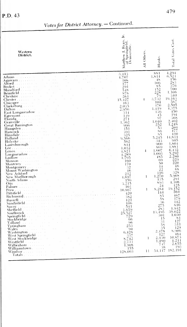# Votes for District Attorney. - Continued.

| Western<br>District.                                                                                                                                                                                                                                                                                        | Matthew J. Ryan.<br>Springfield<br>of Springfiel<br>Democratic.                                                                                                | All Others     | Blanks.                                                                                                                                                | <b>Total Votes Cast</b>                                                                                                                                             |
|-------------------------------------------------------------------------------------------------------------------------------------------------------------------------------------------------------------------------------------------------------------------------------------------------------------|----------------------------------------------------------------------------------------------------------------------------------------------------------------|----------------|--------------------------------------------------------------------------------------------------------------------------------------------------------|---------------------------------------------------------------------------------------------------------------------------------------------------------------------|
| $\bar{\chi}$<br>Adams<br>Agawam<br>Afiord<br>Becket<br>Bennfield<br>Bennfield<br>Cheshire<br>Cheshire<br>Cheshire<br>Cheshire<br>Charles<br>Charles<br>Dalton<br>Formule<br>Formule<br>Francock<br>Hingden<br>Hancock<br>Hingden<br>Hancock<br>Hingden<br>Hancock<br>Lingden<br>Hancock<br>Lin<br>$\bar{L}$ | 3,413<br>4,707<br>108<br>177<br>291<br>548<br>878<br>261<br>15,427<br>463<br>2.035<br>2.956<br>314<br>149<br>271<br>1.362<br>996<br>151<br>391<br>325<br>9.566 | $\overline{4}$ | 881<br>1.814<br>-48<br>106<br>85<br>152<br>228<br>79<br>3,732<br>$10-1$<br>170<br>1.419<br>136<br>4.5<br>97<br>1.040<br>252<br>53<br>86<br>85<br>5.245 | 4.294<br>6,521<br>156<br>283<br>376<br>700<br>1.106<br>340<br>19.163<br>567<br>2,505<br>4,375<br>450<br>194<br>368<br>2.402<br>1,248<br>204<br>477<br>110<br>14,811 |
|                                                                                                                                                                                                                                                                                                             | 562<br>844<br>1.012<br>4,821<br>4,289<br>1,795<br>160<br>170<br>-32                                                                                            | $\overline{a}$ | 343<br>960<br>869<br>1,607<br>1.003<br>485<br>69<br>50<br>14                                                                                           | 905<br>1.804<br>1,881<br>6,432<br>5,292<br>2,280<br>229<br>220<br>46                                                                                                |
|                                                                                                                                                                                                                                                                                                             | 46<br>212<br>4,697<br>-156<br>3,215<br>101<br>10,867                                                                                                           | 1<br>ı         | -2.2<br>116<br>1.270<br>135<br>893<br>24<br>8.284                                                                                                      | 68<br>328<br>5,968<br>291<br>4.108<br>125<br>19,152                                                                                                                 |
| Rushmond<br>Russell<br>Savoy<br>Savoy<br>Savoy<br>Sheffield<br>Sheffield<br>Springfield<br>Tolland<br>Tolland<br>Tyringhan<br>Tyringhan<br>Wals<br>West Springfield<br>West Springfield<br>West Sheckbridge<br>West Sheckbridge<br>West Sheckbridge<br>West Sheckb                                          | $-420$<br>382<br>121<br>106<br>541<br>1.659<br>25,527<br>729<br>66<br>96<br>253                                                                                |                | 144<br>85<br>58<br>36<br>275<br>283<br>13,495<br>301<br>15<br>31<br>58<br>35                                                                           | 564<br>467<br>179<br>142<br>816<br>1,942<br>39,022<br>1,030<br>81<br>127<br>311<br>129                                                                              |
| Williamstown<br>Windsor<br>Totals                                                                                                                                                                                                                                                                           | 94<br>6,428<br>- 337<br>8,742<br>2.731<br>1.908<br>155<br>128,063                                                                                              | 1<br>Ħ         | 2,478<br>127<br>2,130<br>1,480<br>747<br>38<br>54,117                                                                                                  | 8.906<br>464<br>10,873<br>4,211<br>2.655<br>193<br>182.191                                                                                                          |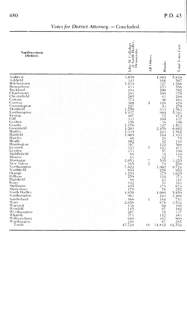| 480 |                                           | P.D. 43 |
|-----|-------------------------------------------|---------|
|     | Votes for District Attorney. - Concluded. |         |

| Amherst <sub>–</sub> 1<br>3,858<br>5,819<br>1,961<br>$\sim$<br>k.<br>÷<br>.  Ashfield<br>341<br>166<br>507<br>$\sim$ $\sim$<br>n.<br>Belchertown .<br>1,239<br>327<br>1,566<br>Bernardston .<br>433<br>123<br>556<br>V.<br>Buckland<br>-494<br>208<br>702<br>$\infty$ .<br>Charlemont<br>261<br>109<br>370<br>$\sim 10$<br>Chesterfield<br>205<br>63<br>268<br>Colrain<br>374<br>90<br>464<br>$\sim$<br>Conway<br>300<br>ı<br>128<br>429<br>Cummington<br>Deerfield<br>227<br>-43<br>270<br>$\sim 10^{-1}$<br>Deerfield<br>1,250<br>1,583<br>333<br>Easthampton<br>4.437<br>904<br>5.341<br>$Erying$<br>$-407$<br>72<br>479<br>$\sim$<br>Gill<br>333<br>437<br><b>Services</b><br>104<br>Goshen<br>158<br>38<br>196<br>Granby<br>1.176<br>347<br>1.523<br>Greenfield<br>4.203<br>2.459<br>6.662<br>÷<br>Hadley<br>1,339<br>243<br>1.582<br>÷<br>Hatfield<br>$\sim$<br>1.009<br>184<br>1.193<br><b>COLLECTION</b><br>$\frac{2}{\alpha}$<br>Hawley<br>-46<br>29<br>75<br>$\sim 100$<br>Heath<br>102<br>42<br>$1-1-1$<br>Huntington <b>a</b><br>387<br>121<br>508<br>Leverett<br>5<br>323<br>143<br>$-471$<br>Leyden<br>133<br>57<br>190<br>Middlefield .<br>- 88<br>31<br>119<br>Monroe<br>63<br>12<br>75<br>7<br>Montague<br>2,653<br>595<br>3.255<br>$\sim$<br>$\frac{1}{2}$<br>New Salem .<br>165<br>71<br>238<br>Northampton<br>9.724<br>7.822<br>1.902<br>Northfield<br>694<br>258<br>952<br>Orange<br>1.254<br>375<br>1.629<br>$\sim 10^{-1}$<br>Pelham<br>259<br>$11-1$<br>373<br>Plainfield .<br>-98<br>23<br>121<br>Rowe<br>112<br>51<br>163<br>$\sim$<br>Shelburne .<br>495<br>179<br>674<br>Shutesbury .<br>176<br>76<br>252<br>South Hadley<br>4.850<br>1.009<br>5,859<br>Southampton<br>963<br>243<br>1.206<br>Sunderland<br>588<br>164<br>753<br>1<br><b>Ware</b><br>2.656<br>876<br>3,532<br>Warwick<br>136<br>60<br>196<br>Wendell<br>182<br>115<br>67 | Northwestern<br>District. | South Hadley.<br>John M. Callahan<br>of South Hadley<br>Democratic. | All Others.<br>Blanks. | Total Votes Cast. |
|----------------------------------------------------------------------------------------------------------------------------------------------------------------------------------------------------------------------------------------------------------------------------------------------------------------------------------------------------------------------------------------------------------------------------------------------------------------------------------------------------------------------------------------------------------------------------------------------------------------------------------------------------------------------------------------------------------------------------------------------------------------------------------------------------------------------------------------------------------------------------------------------------------------------------------------------------------------------------------------------------------------------------------------------------------------------------------------------------------------------------------------------------------------------------------------------------------------------------------------------------------------------------------------------------------------------------------------------------------------------------------------------------------------------------------------------------------------------------------------------------------------------------------------------------------------------------------------------------------------------------------------------------------------------------------------------------------------------------------------------------------------------------------------------------------------------------------------------------------------------|---------------------------|---------------------------------------------------------------------|------------------------|-------------------|
| Whatelv<br>371<br>112<br>483<br>$\sim 10^{-1}$<br>Williamsburg<br>163<br>646<br>809<br>Worthington.<br>$\frac{218}{47,724}$<br>67<br>285<br>Totals<br>62,552<br>14,812<br>16<br>$\sim 1$                                                                                                                                                                                                                                                                                                                                                                                                                                                                                                                                                                                                                                                                                                                                                                                                                                                                                                                                                                                                                                                                                                                                                                                                                                                                                                                                                                                                                                                                                                                                                                                                                                                                             | Westhampton .             | 267                                                                 | 70                     | 337               |

#### for District Attorney. - Concluded.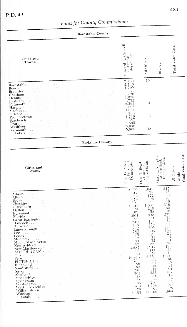#### Barnstable County.

| Cities and<br>Towns.                                                                                                                                                                                                                                                                                                                                                                                                                                  | Edward A. Crowell<br>of Dennis,<br>Republican.                                                                                                                                                                             | All Others                                                                                                                                                                                                                                                                                     | Blanks.                                                                                                                                                                                                                                                        | Total Votes Cast.                          |
|-------------------------------------------------------------------------------------------------------------------------------------------------------------------------------------------------------------------------------------------------------------------------------------------------------------------------------------------------------------------------------------------------------------------------------------------------------|----------------------------------------------------------------------------------------------------------------------------------------------------------------------------------------------------------------------------|------------------------------------------------------------------------------------------------------------------------------------------------------------------------------------------------------------------------------------------------------------------------------------------------|----------------------------------------------------------------------------------------------------------------------------------------------------------------------------------------------------------------------------------------------------------------|--------------------------------------------|
| Barnstable<br>Bourne<br>Brewster<br>Chatham .<br>Dennis<br>Eashtam<br>Falmouth<br>Harwich .<br>Mashpee<br>Orleans<br>Provincetown<br>Sandwich<br>$Truro$<br>Wellfleet<br>Yarmouth<br>$Totals$                                                                                                                                                                                                                                                         | $7,269$<br>$2,136$<br>$1,295$<br>$2,134$<br>3,426<br>1,075<br>4,752<br>2,593<br>696<br>1,821<br>783<br>1,710<br>387<br>695<br>5,038<br>35,808                                                                              | 10<br>1<br>$\cdot$<br>3<br>18                                                                                                                                                                                                                                                                  |                                                                                                                                                                                                                                                                |                                            |
| Berkshire County.                                                                                                                                                                                                                                                                                                                                                                                                                                     |                                                                                                                                                                                                                            |                                                                                                                                                                                                                                                                                                |                                                                                                                                                                                                                                                                |                                            |
| Cities and<br>Towns.                                                                                                                                                                                                                                                                                                                                                                                                                                  | of Pittsfield,<br>Democratic.<br>Peter G. Arlos                                                                                                                                                                            | $1) \begin{array}{l} \text{1)ale T. Read} \\ \text{of Becker.} \\ \text{Repeket.} \end{array}$                                                                                                                                                                                                 | of Pittsfield.<br>Independent.<br>Mary L. Murph                                                                                                                                                                                                                | Total Votes Cast<br>All Others.<br>Blanks. |
| Adams<br>Alford<br>Becket<br>Cheshire<br>Clarksburg<br>Dalton<br>Egremont<br>∟gremont<br>Florida<br>Crest P<br>Great Barrington<br>Hancock<br>Hinsdale<br>Lanesborough.<br>Monterey<br>Mount Washington<br>New Ashford<br>New Marlborough<br>NORTH ADAMS<br>Otis $\ldots$<br>Peru<br>PITTSFIELD<br>Richmond<br>Sandisfield).<br>Savoy<br>Sheffield<br>Stockbridge<br>Tyringham<br>Washington<br>West Stockbridge<br>Williamstown<br>Windsor<br>Totals | 2,770<br>47<br>99<br>678<br>304<br>1,201<br>123<br>109<br>1,004<br>90<br>$\frac{240}{418}$<br>$\frac{418}{842}$<br>783<br>7<br>12<br>31<br>97<br>3,282<br>96<br>5()<br>10,913<br>211<br>246<br>302<br>205<br>913<br>25,483 | 1,043<br>78<br>122<br>$\frac{296}{211}$<br>1.037<br>249<br>-58<br>948<br>71<br>169<br>359<br>605<br>805<br>121<br>5<br>31<br>32<br>169<br>1,917<br>114<br>$5-1$<br>5,554<br>273<br>71<br>86<br>$-13$<br>82<br>443<br>553<br>$\overline{5}$ l<br>18<br>69<br>48<br>201<br>1,338<br>78<br>17,169 | $\begin{array}{r} 345 \\ 25 \\ 39 \end{array}$<br>92<br>40<br>216<br>55<br>18<br>239<br>36<br>$-5-1$<br>$9-4$<br>227<br>$\begin{array}{c} 184 \\ 21 \end{array}$<br>38<br>490<br>33<br>14<br>1,691<br>66<br>15<br>94<br>137<br>$\frac{284}{28}$<br>84<br>4,664 | 1<br>$\overline{1}$<br>13<br>19<br>9<br>43 |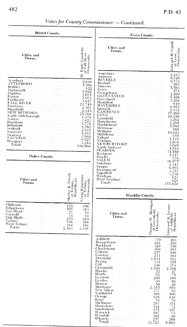Votes for County Commissioner. - Continued.

| Bristol County,                                                                                                                                                                                                                                                                                                            |                                                                                                                                                                                                                                                    | Essex County,                                                                                                                                                                                                                                                                                                                                                                                                                                                                                                                                                                                                                                                                                                                                                                                                                                                                                                                                                                                                                                                                                                                                                                                                                                        |                                                                                                                                                                                               |                                                                                                                                                                                                                          |  |  |  |
|----------------------------------------------------------------------------------------------------------------------------------------------------------------------------------------------------------------------------------------------------------------------------------------------------------------------------|----------------------------------------------------------------------------------------------------------------------------------------------------------------------------------------------------------------------------------------------------|------------------------------------------------------------------------------------------------------------------------------------------------------------------------------------------------------------------------------------------------------------------------------------------------------------------------------------------------------------------------------------------------------------------------------------------------------------------------------------------------------------------------------------------------------------------------------------------------------------------------------------------------------------------------------------------------------------------------------------------------------------------------------------------------------------------------------------------------------------------------------------------------------------------------------------------------------------------------------------------------------------------------------------------------------------------------------------------------------------------------------------------------------------------------------------------------------------------------------------------------------|-----------------------------------------------------------------------------------------------------------------------------------------------------------------------------------------------|--------------------------------------------------------------------------------------------------------------------------------------------------------------------------------------------------------------------------|--|--|--|
| Cities and<br>Towns.                                                                                                                                                                                                                                                                                                       | M. Earle Gaudette<br>of Fall River,<br>Democratic                                                                                                                                                                                                  | Cities and<br>Towns.                                                                                                                                                                                                                                                                                                                                                                                                                                                                                                                                                                                                                                                                                                                                                                                                                                                                                                                                                                                                                                                                                                                                                                                                                                 |                                                                                                                                                                                               | Edward H. Cahill<br>of Lynn,<br>Democratic.                                                                                                                                                                              |  |  |  |
| Acushnet<br>ATTLEBORO<br>Berkley <sub>Sat</sub> e 2021<br>Berkley<br>Dartmouth<br>Dighton<br>Easton<br>Fairhaven<br>Fairhaven<br>FALL RIVER<br>Freetown<br>Freetown<br>Mansfield<br>NEW BEDFORD<br>North Attleborough<br>Norton<br>Raynham<br>Rehoboth<br>Seekonk<br>Somerset<br>Nayansea<br>TAUNTON<br>Westport<br>Totals | 2,899<br>$\alpha$ , $\alpha$ , $\alpha$ , $\alpha$<br>$-1.1$<br>5,986<br>422<br>5,892<br>1,074<br>2,971<br>3,847<br>23,749<br>1,162<br>2,449<br>25,766<br>4,376<br>1,823<br>1,776<br>1,362<br>2,911<br>5,461<br>3,969<br>9,527<br>3,244<br>110,666 | Amesbury.<br>X-XX<br>Andover<br>Andover<br>BEVERLY<br>Boxford<br>Danvers<br>Danvers<br>Danvers<br>Essex<br>Ceorgetown<br>Ceorgetown<br>GLOUCESTER<br>GLOUCESTER<br>Groveland<br>Harvester (1999)<br>Hamilton<br>the committee shows<br>HAVERHILL<br>Ipswich<br>LAWRENCE<br>LYNN<br>Lynnfield<br>Lynnfield<br>Marchester<br>Marblehead<br>Marblehead<br>Martime<br>Middleton<br>Nahant<br>Newbry<br>NEWBURYPORT<br>NEWBURYPORT<br>North Andover<br>North Andover                                                                                                                                                                                                                                                                                                                                                                                                                                                                                                                                                                                                                                                                                                                                                                                      | $\sim$<br>$-1$<br>$\times$ $\cdot$<br>$\ \cdot\ $<br>the service with<br>$\alpha$ and $\alpha$<br>$\sim$ $\sim$ $\sim$ $\sim$                                                                 | 2,411<br>6,728<br>9,733<br>987<br>5,563<br>57 1<br>1,209<br>5,408<br>1,204<br>819<br>9,953<br>2,432<br>17,980<br>19,150<br>3,262<br>1,298<br>5,592<br>888<br>10,424<br>918<br>1.119<br>1,031<br>3,648<br>4,521<br>11,580 |  |  |  |
| Dukes County.                                                                                                                                                                                                                                                                                                              |                                                                                                                                                                                                                                                    |                                                                                                                                                                                                                                                                                                                                                                                                                                                                                                                                                                                                                                                                                                                                                                                                                                                                                                                                                                                                                                                                                                                                                                                                                                                      |                                                                                                                                                                                               | 1,517<br>735<br>10,575<br>1,141                                                                                                                                                                                          |  |  |  |
| Cities and<br>Towns.                                                                                                                                                                                                                                                                                                       | Shirley K. Frisch<br>of Tisbury,<br>Republican.<br>Craig Kingsbury<br>of Tisbury<br>Democratic.                                                                                                                                                    | North Andover<br>PEABODY<br>Rockport<br>Rockport<br>SALEM<br>Sallisbury<br>Saugns<br>Swampscott<br>Topsfield<br>The Saugns<br>Topsfield<br>Wenham<br>West Newbury<br>Totals                                                                                                                                                                                                                                                                                                                                                                                                                                                                                                                                                                                                                                                                                                                                                                                                                                                                                                                                                                                                                                                                          |                                                                                                                                                                                               | 6,993<br>3,353<br>1.230<br>823<br>628<br>155,424                                                                                                                                                                         |  |  |  |
|                                                                                                                                                                                                                                                                                                                            |                                                                                                                                                                                                                                                    | Franklin County.                                                                                                                                                                                                                                                                                                                                                                                                                                                                                                                                                                                                                                                                                                                                                                                                                                                                                                                                                                                                                                                                                                                                                                                                                                     |                                                                                                                                                                                               |                                                                                                                                                                                                                          |  |  |  |
| Chilmark<br>Edgartown<br>Gay Head<br>$\sim 100$<br>Gosnold<br>Oak Bluffs $\ldots$<br>Oak Division Care Tisbury<br>Value of<br>West Tisbury<br>Totals<br>$\sim$ $\sim$ $\sim$                                                                                                                                               | 129<br>106<br>507<br>383<br>$\frac{27}{31}$<br>54<br>14<br>459<br>329<br>766<br>368<br>184<br>184<br>2,103<br>1,438                                                                                                                                | Cities and<br>Towns,                                                                                                                                                                                                                                                                                                                                                                                                                                                                                                                                                                                                                                                                                                                                                                                                                                                                                                                                                                                                                                                                                                                                                                                                                                 | Thomas W. Merrigan<br>of Greenfield<br>Democratic                                                                                                                                             | Lesure<br>of Ashfield,<br>Republican,<br>Linwood B.                                                                                                                                                                      |  |  |  |
|                                                                                                                                                                                                                                                                                                                            |                                                                                                                                                                                                                                                    | Ashfield .<br>Bernardston<br>Bernardston<br>Buckland<br>Charlemont<br>Calsain<br>$\text{Colrain}$<br>Conway<br>Deerfield<br>Erving $\cdots$<br>$Gill$<br>Greenfield<br>$Hawley$ $\longrightarrow$ $\longrightarrow$<br>$Heath$<br>$\sim$ $\sim$ $\times$<br>${\rm Leverett} \over {\rm d} \over {\rm d} \over {\rm d} \over {\rm d} \over {\rm d} \over {\rm d} \over {\rm d} \over {\rm d} \over {\rm d} \over {\rm d} \over {\rm d} \over {\rm d} \over {\rm d} \over {\rm d} \over {\rm d} \over {\rm d} \over {\rm d} \over {\rm d} \over {\rm d} \over {\rm d} \over {\rm d} \over {\rm d} \over {\rm d} \over {\rm d} \over {\rm d} \over {\rm d} \over {\rm d} \over {\rm d} \over {\rm d} \over {\rm d} \over {\rm d} \over {\rm d} \over {\rm d} \over {\rm d} \over {\rm d} \over {\rm$<br>Monroe<br>Montague<br>New Salem<br>Northfield<br>Name<br>Rawe<br>Rowe<br>Shelburne<br>Sunderland<br>Warwick<br>Wendell<br>Wendell<br>Wendell <b>Service</b><br>$-11$<br>Whately a service of the service of the service of the service of the service of the service of the service of the service of the service of the service of the service of the service of the service of the service of the se<br>$Totals$ . $\cdots$ $\cdots$ $\cdots$ | 79<br>244<br>320<br>160<br>257<br>211<br>1.041<br>311<br>240<br>4,128<br>22<br>61<br>205<br>95<br>50<br>2,315<br>177<br>408<br>938<br>-76<br>297<br>144<br>475<br>107<br>105<br>257<br>12,723 | 403<br>289<br>356<br>193<br>186<br>184<br>461<br>155<br>174<br>2,160<br>$+7$<br>75<br>186<br>88<br>20<br>801<br>93<br>506<br>616<br>-76<br>351<br>$\frac{72}{197}$<br>73<br>40<br>200<br>8,002                           |  |  |  |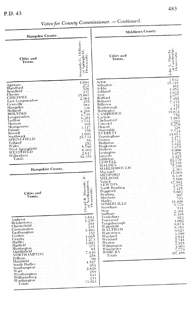| Hampden County.                                                                                                                                                                                                                                                                                                                                                                                                                                                                                                                                                                                                                                                                                                                                                                                                               |                                                                                                                                                                                                                                                                                                                                                                                                                                                                                                                                                                                                                                                                                                                                                                 |
|-------------------------------------------------------------------------------------------------------------------------------------------------------------------------------------------------------------------------------------------------------------------------------------------------------------------------------------------------------------------------------------------------------------------------------------------------------------------------------------------------------------------------------------------------------------------------------------------------------------------------------------------------------------------------------------------------------------------------------------------------------------------------------------------------------------------------------|-----------------------------------------------------------------------------------------------------------------------------------------------------------------------------------------------------------------------------------------------------------------------------------------------------------------------------------------------------------------------------------------------------------------------------------------------------------------------------------------------------------------------------------------------------------------------------------------------------------------------------------------------------------------------------------------------------------------------------------------------------------------|
| Armando G. DiMauro<br>of Springfield,<br>Democratic.<br>Cities and<br>Towns.                                                                                                                                                                                                                                                                                                                                                                                                                                                                                                                                                                                                                                                                                                                                                  | Jobn L. Danehy<br>of Cambridge<br>of Cambridg<br>Democratic.<br>Cities and<br>Towns.                                                                                                                                                                                                                                                                                                                                                                                                                                                                                                                                                                                                                                                                            |
| 4.601<br>Agawam<br>Blandford<br>CHICOPEE<br>CHICOPEE<br>CHICOPEE<br>Cast Longmeadow<br>Granville<br>Hampden<br>Hampden<br>HOLICOKE<br>Ludlow<br>Ludlow<br>Montgomery<br>Nanson<br>Nontgomery<br>Sudukuck<br>SPRINGFIELD<br>Sudukuck<br>SPRINGFIELD<br>Vales<br>Vales<br>272<br>526<br>237<br>15,087<br>2,904<br>255<br>984<br>316<br>8,268<br>4,748<br>$\frac{4,304}{1,732}$<br>- 166<br>3,117<br>- 356<br>1,603<br>25,735<br>$-66$<br>$-252$<br>$5,796$<br>$8,409$<br>2,617<br>92,351<br>Hampshire County.<br>Cities and<br>Towns.<br>Amherst<br>Belehertown<br>Chesterfield<br>Cummington<br>Coshen<br>Caraby<br>Consider<br>Hadley<br>Hatfield<br>Hatfield<br>Moderfield<br>North Hadley<br>North Hadley<br>South Hadley<br>Sunth Hadley<br>Sunth Hadley<br>Sunth Hadley<br>Westhampton<br>Ware<br>Westhampton<br>Williams | $\begin{tabular}{c c c} \hline \multicolumn{1}{c}{\textbf{Action}} & \multicolumn{1}{c}{\textbf{3.64}} \\ \hline \multicolumn{1}{c}{\textbf{Action}} & \multicolumn{1}{c}{\textbf{3.65}} \\ \hline \multicolumn{1}{c}{\textbf{Action}} \\ \hline \multicolumn{1}{c}{\textbf{A} \& \textbf{B} \& \textbf{B} \& \textbf{B} \& \textbf{C} \\ \hline \multicolumn{1}{c}{\textbf{A} \& \textbf{B} \& \textbf{B} \& \textbf{C} \\ \hline \multicolumn{1}{c}{\textbf{B} \$<br>$\begin{array}{ll} \text{David B, Musante, Ir.}\\ \text{of Northampton,} \\ \text{Denocrate.} \end{array}$<br>3.641<br>1,216<br>204<br>$\frac{5}{2}$ 18<br>4,403<br>152<br>1,045<br>1,273<br>1,003<br>- 375<br>-85<br>7,846<br>258<br>- 90<br>4,517<br>954<br>2,620<br>269<br>641<br>214 |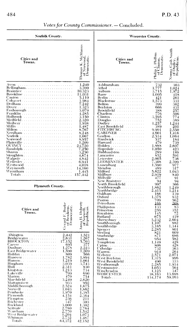## Norfolk County. Cities and<br>Towns. Towns.  $\begin{bmatrix} 0 & 0 \\ 0 & 0 \end{bmatrix}$ an<br>2 oqus<br>2 oqus |<br>2 oqus | Avon 1,240<br>Braingham 3,390<br>Braintree 1, 10323<br>Brookline 11,0323<br>Canton 11,031 Canton 11,031 Cohasset 1, 1, 2001<br>Dedham 1, 1, 1, 2002<br>Dover 1, 1, 1, 2002<br>Foxborough 3,079 Foxborough Franklin 4,285 Holbrook 3,150 Medfield 2,320 Medway 1,938 Millis 1,487 Milton 8,767 Needham 8,248 Norfolk 1,067 Norwood 8,957 Plainville 1,209 QITNCY 24,720 Randolph 7,250 Sharon 3,250 Stoughton 4,674 Walpole 4,842 Wellesley 6,941 Westwood 4,018 Weymouth 14,160 Wrentham 1,445 Totals 157,442 Plymouth County. Cities and<br>Towns. Gerard F. Burke<br>of Brockton.<br>Democratic. The Experiment Phillips<br>
The American Princet<br>
The American Princet<br>
The Rutland<br>
The Shrews<br>
Shrews Ama II. Doherty<br>of Norwell,<br>Republican. Abington 2,442 1,521 Bridgewater 2,631 1,267 BROCKTON 17,152 5,703 Carver <sup>695</sup> <sup>377</sup> Duxburv 1,278 2,223 East Bridgewater 1,590 1,209 Halifax 809 566 Hanover 1,782 1,894<br>
Hanson 1,219 1,000<br>
Hingham 1,009 1,743<br>
Hingham 2,039 3,743<br>
Hingham 2,039 3,743<br>
Kingston 1,213 830<br>
Kingston 1,213 734<br>
Kakeville 4,70 690<br>
Marshfield 3,249 2,620<br>
Marshfield 3,249 2,620<br>
Marshfield Scituate 11.<br>Scituate 2,780 2,764 West Bridgewater 1,204 1,073<br>West Bridgewater 1,204 1,073<br>Whitman 1,204 1,2732 1,487<br>Totals 1,000 1,4372 42,152 Worcester County. Cities and<br>Towns. nties and<br>Towns. 2 <u>2</u> g ಕ್ಷಿ≈ರ ಕ a 2<br>Julie 2<br>Julie 2 Ashburnham 732 363 Athol 1,777 1,024 Auburn 3,715 1,972 Barre 1,005 418 Berlin 421 261 Blackstone 1,573 331 Bolton 399 302 Boylston 666 431 Brookfield 388 257 Charlton 776 506 Clinton 3,595 774 Douglas 752 389 Dudley 1,257 1,244 East Brookfield <sup>389</sup> <sup>201</sup> FITCHBURG 9,991 2,550 GARDNER 4,601 1,416 Grafton 2,534 1,064 Hardwick <sup>537</sup> <sup>184</sup> Harvard <sup>479</sup> <sup>739</sup> Holden 1,888 2,607 Hopedale 1,050 <sup>423</sup> Hubbardston 289 189 Lancaster 852 591 Leicester 2,005 <sup>736</sup> LEOMINSTER 7,308 2,399 Lunenburg 1,590 <sup>977</sup> Mendon <sup>489</sup> <sup>317</sup> Milford 5,622 1,043 Millbury 2,919 840 Millville <sup>477</sup> <sup>91</sup> New Braintree <sup>94</sup> <sup>94</sup> North Brookfield 997 366 Northborough 1,862 1,249 Northbridge 2,415 1,214 Oakham <sup>166</sup> <sup>139</sup> Oxford 1,375 832 Paxton 709 562 Petersham 168 208 Phillipston 133 83 Princeton 259 352 Rovalston 145 72 Rutland 675 419 Shrewsbury 5,232 2,604 Southborough 1,107 <sup>882</sup> Southbridge 3,165 1,344<br>Spencer 2,285 801<br>Sterling 821 609<br>Sturbridge 871 686<br>Sturbridge 871 686<br>Templeton 1,149 428<br>Templeton 1,149 428<br>Upton 808 428<br>Upton 808 428<br>Warren 1,149 364<br>Warren 1,149 264 Webster 2, 2,571 2,071<br>West Boylston 2, 2,075 996 996 996<br>West Brookfield 490 333 Westborough 2,285 1,934<br>Westminster 1,053 564<br>Winchendon 1,125 347<br>WORCESTER 38,163 13,698 Winchendon 1,125 347<br>WORCESTER 38,163 13,698<br>Totals 134,174 59,163

#### Votes for County Commissioner. — Concluded.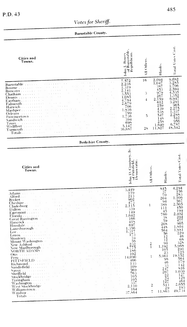| Cities and<br>Towns.                                                                                                                                                                                                                                                                                                                                                                                                                     | Barnstable,<br>John J. Bowes<br>Republican<br>इ                                                                                                                                                 | All Others                           | Blanks.                                                                                                                                                                                                      | <b>Total Votes Cast</b>                                                                                                                                                                                    |
|------------------------------------------------------------------------------------------------------------------------------------------------------------------------------------------------------------------------------------------------------------------------------------------------------------------------------------------------------------------------------------------------------------------------------------------|-------------------------------------------------------------------------------------------------------------------------------------------------------------------------------------------------|--------------------------------------|--------------------------------------------------------------------------------------------------------------------------------------------------------------------------------------------------------------|------------------------------------------------------------------------------------------------------------------------------------------------------------------------------------------------------------|
| $\alpha$ , $\alpha$ , $\alpha$                                                                                                                                                                                                                                                                                                                                                                                                           | 7,572<br>2,238<br>1,319<br>2,141<br>3,553<br>1,085<br>4,784<br>2,679<br>706<br>1,836<br>799<br>1,736<br>394<br>698<br>5,147<br>36,687                                                           | 16<br>3<br>4<br>$\overline{5}$<br>28 | 2,094<br>1,047<br>387<br>453<br>979<br>267<br>2,159<br>612<br>259<br>439<br>538<br>547<br>148<br>258<br>1,640<br>11,827                                                                                      | 9,682<br>$3,285$<br>$1,706$<br>2,594<br>4,535<br>$\frac{1,352}{6,947}$<br>3,291<br>965<br>2,275<br>1,337<br>2.288<br>$\frac{1}{5}$ <sup>2</sup><br>956<br>6,787<br>48,542                                  |
| Berkshire County.                                                                                                                                                                                                                                                                                                                                                                                                                        |                                                                                                                                                                                                 |                                      |                                                                                                                                                                                                              |                                                                                                                                                                                                            |
| Cities and<br>Towns.                                                                                                                                                                                                                                                                                                                                                                                                                     | John D. Courtney, Jr.<br>of Pittsfield.<br>Democratic.                                                                                                                                          | All Others                           | Blanks.                                                                                                                                                                                                      | Total Votes Cast                                                                                                                                                                                           |
| a Maria<br>$Adams + 1222$<br>Adams<br>- Alford<br>- Becket<br>- Cheshire<br>- Clarksburg<br>- Egremont<br>- Epiradia<br>- Epiradia<br>- Epiradia<br>- Hancock<br>- Hancock<br>- Hancock<br>- Mount Washington<br>- Nouther Ashford<br>- Nouther Ashford<br>- Nouther Ashford<br>- Nouther A<br>The committee of the com-<br>$\sim$ 10 $\pm$<br>$\mathcal{N}_{\mathrm{sc}}$ , and<br>$\mathbb{R}^n$ . $\mathbb{R}^n$<br><b>Contractor</b> | 3,449<br>119<br>213<br>902<br>473<br>2,115<br>339<br>149<br>1,642<br>166<br>418<br>697<br>1,356<br>1,317<br>173<br>34<br>56<br>3,775<br>186<br>102<br>14.090<br>466<br>133<br>109<br>569<br>763 | 1<br>$\overline{2}$<br>ī<br>1        | 845<br>37<br>70<br>204<br>94<br>389<br>111<br>$-45$<br>760<br>$\frac{38}{10}$<br>59<br>208<br>448<br>564<br>56<br>12<br>$\overline{12}$<br>94<br>1.192<br>105<br>23<br>5,061<br>98<br>46<br>33<br>247<br>267 | 4.294<br>156<br>283<br>1,106<br>567<br>2,505<br>450<br>194<br>2,402<br>204<br>477<br>905<br>1.804<br>1,881<br>229<br>46<br>68<br>328<br>5,968<br>291<br>125<br>19,152<br>564<br>179<br>142<br>816<br>1,030 |
|                                                                                                                                                                                                                                                                                                                                                                                                                                          | 105<br>105<br>337<br>2,110<br>164<br>37,864                                                                                                                                                     | 2<br>7                               | 22<br>24<br>127<br>543<br>29<br>11,863                                                                                                                                                                       | $\frac{127}{129}$<br>164<br>2,655<br>193<br>49,734                                                                                                                                                         |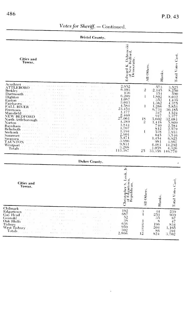| <b>Bristol County.</b>                                                                                                                                                                                                                                                                                                                                                                                                                                                                                                                                                                                                                                                                                                                                                                                                                                                                                                                     |                                                                                                                                                                                             |                                                             |                                                                                                                                                                        |                                                                                                                                                                                              |
|--------------------------------------------------------------------------------------------------------------------------------------------------------------------------------------------------------------------------------------------------------------------------------------------------------------------------------------------------------------------------------------------------------------------------------------------------------------------------------------------------------------------------------------------------------------------------------------------------------------------------------------------------------------------------------------------------------------------------------------------------------------------------------------------------------------------------------------------------------------------------------------------------------------------------------------------|---------------------------------------------------------------------------------------------------------------------------------------------------------------------------------------------|-------------------------------------------------------------|------------------------------------------------------------------------------------------------------------------------------------------------------------------------|----------------------------------------------------------------------------------------------------------------------------------------------------------------------------------------------|
| Cities and<br>Towns.                                                                                                                                                                                                                                                                                                                                                                                                                                                                                                                                                                                                                                                                                                                                                                                                                                                                                                                       | Edward K. Dahrowski<br>of New Bedford,<br>Democratic                                                                                                                                        | All Others.                                                 | Blanks.                                                                                                                                                                | Total Votes Cast.                                                                                                                                                                            |
| Acushnet<br>and a straight and<br><b>ATTLEBORO</b><br>the common of the common<br>1.111<br>$Berkley$<br>$1 - 1 = 1 + 1$<br>$\sim$<br>÷.<br>Dartmouth<br>Dighton<br><b>COLLECTION</b><br><b>Contractor</b><br>W.<br>Easton $\ldots$<br>Website and<br>Fairhaven<br>market and<br>$\sim$ 1<br>FALL RIVER<br>$V = -1$<br>The Council<br>v.<br>Freetown<br>The Council<br>Mansfield .<br><b>Contractor</b><br><b>NEW BEDFORD</b><br>and a state<br>- 3<br>North Attleborough<br>$-11 - 1$<br><b>Contractor</b><br>×.<br>W.<br>$Raynham$<br><b>Contractor</b><br>-8<br>Rehoboth<br><b>Construction</b><br>- 100<br>Seekonk<br>Show and the same<br>Somerset<br><b>The Service County</b><br><b>ARTICLE AND INC.</b><br>Swansea<br>ministers and all<br>The concerning<br>TAUNTON<br>the color of a state of<br>$i = -1, 1, 1, 1, 1, 1, 2$<br>The contract of the contract of the con-<br>$Totals$<br>a valor concerns<br><b>Service Control</b> | 2,952<br>6,103<br>436<br>6.209<br>1.087<br>3.013<br>4.584<br>23,454<br>1,177<br>2,460<br>27,061<br>4,389<br>1,844<br>1,767<br>1.394<br>2.901<br>5.471<br>3,986<br>9.831<br>3.268<br>113,387 | $\overline{2}$<br>1<br>1<br>18<br>$\overline{2}$<br>1<br>25 | 573<br>2.145<br>154<br>1.802<br>352<br>1.362<br>1,266<br>6,731<br>347<br>917<br>5,602<br>1,418<br>740<br>812<br>538<br>645<br>1,454<br>981<br>4,461<br>1,058<br>33,358 | 3,525<br>8,250<br>590<br>8,012<br>1.439<br>4.375<br>5.851<br>30.185<br>1.524<br>3,377<br>32,681<br>5.809<br>2.584<br>2,579<br>1.933<br>3,546<br>6.925<br>4.967<br>14.292<br>4,326<br>146,770 |
| Dukes County.                                                                                                                                                                                                                                                                                                                                                                                                                                                                                                                                                                                                                                                                                                                                                                                                                                                                                                                              |                                                                                                                                                                                             |                                                             |                                                                                                                                                                        |                                                                                                                                                                                              |
| Cities and<br>Towns.                                                                                                                                                                                                                                                                                                                                                                                                                                                                                                                                                                                                                                                                                                                                                                                                                                                                                                                       | Christopher S. Look, Jr.<br>of Edgartown,<br>Republican                                                                                                                                     | All Others                                                  | <b>Blanks</b>                                                                                                                                                          | Total Votes Cast                                                                                                                                                                             |
| Chilmark<br><b>Contract</b><br>$\sim 10^{-1}$<br>Edgartown<br>$\mathcal{L}=\mathcal{L}$<br><b>Contractor</b><br>Gay Head<br>$\mathbf{x}$<br>Gosnold<br>and the control<br>Oak Bluffs<br>$\sim$ .<br>Tisbury<br>$\sim$<br>West Tisbury<br>$\sim$ $\sim$<br>$\sim$<br>Totals.<br>$\sim 10$ km $^{-1}$<br>$\mathbb{R}$<br>$-$                                                                                                                                                                                                                                                                                                                                                                                                                                                                                                                                                                                                                 | 192<br>687<br>52<br>38<br>636<br>959<br>302<br>2,866                                                                                                                                        | 3<br>$\mathbf{1}$<br>1<br>$\frac{2}{3}$<br>12               | 44<br>251<br>35<br>$_{8}$<br>196<br>204<br>86<br>824                                                                                                                   | 239<br>939<br>87<br>$-17$<br>834<br>1,165<br>391<br>3.702                                                                                                                                    |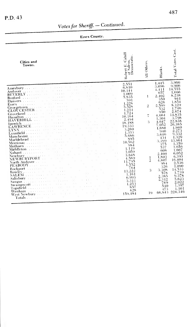| Cities and<br>Towns.                                                                                                                                                                                                                                                                                                                                                                                                                                                                                                                                                                                                                                                                                                                                                                                                                                                                                                                                                                                                                                                                                              | Robert E. Cahill<br>Democratic.<br>of Salem.                                                                                                                                                                                                                                                                         | All Others.                                                     | Blanks                                                                                                                                                                                                                                                                                   | Total Votes Cast.                                                                                                                                                                                                                                                                                                              |
|-------------------------------------------------------------------------------------------------------------------------------------------------------------------------------------------------------------------------------------------------------------------------------------------------------------------------------------------------------------------------------------------------------------------------------------------------------------------------------------------------------------------------------------------------------------------------------------------------------------------------------------------------------------------------------------------------------------------------------------------------------------------------------------------------------------------------------------------------------------------------------------------------------------------------------------------------------------------------------------------------------------------------------------------------------------------------------------------------------------------|----------------------------------------------------------------------------------------------------------------------------------------------------------------------------------------------------------------------------------------------------------------------------------------------------------------------|-----------------------------------------------------------------|------------------------------------------------------------------------------------------------------------------------------------------------------------------------------------------------------------------------------------------------------------------------------------------|--------------------------------------------------------------------------------------------------------------------------------------------------------------------------------------------------------------------------------------------------------------------------------------------------------------------------------|
| Amesbury<br>$\mathbf{r} = \mathbf{r} + \mathbf{r}$<br>Andover<br>BEVERLY<br>and a series<br>Boxford<br>$-111111$<br>Danvers $\ldots$<br><b>Salaraha</b><br><b>Essex</b><br>Georgetown -<br><b>GLOUCESTER</b><br>Groveland<br><b>Salary Advised Street</b><br>and a state<br>Hamilton<br><b>HAVERHILL</b><br>$\sim 100$<br><b>State Ave</b><br>lpswich<br>$\label{eq:2.1} \omega_{\rm c} = \omega_{\rm c} + \omega_{\rm c} \, \hat{V}$<br><b>LAWRENCE</b><br>and a state<br>La para a state<br><b>LYNN</b><br>William Co.<br>Lynnfield<br>Manchester<br><b>Contract</b><br>$\sim$ $\sim$ $\sim$<br>$\sim$<br>Marblehead<br>Merrimae<br>Methuen<br>Middleton<br>Nahant<br>Newbury<br>$\sim$ 10<br>$\ldots$ .<br>NEWBURYPORT<br>×<br>North Andover<br>$PEABODY$ .<br>$-2$<br>Rockport<br>and a site<br>Rowley<br>Victoria.<br>Links Street<br><b>SALEM</b><br>-<br><b>Contractor</b><br>Salisbury 111<br>$\mathcal{X}=\{1,2,3,5\}$<br>Saugus<br>Swampscott<br>and the state<br>Topsfield<br>$\mathcal{A}$ is a set of $\mathcal{A}$ of $\mathcal{A}$ , and $\mathcal{A}$<br>Wenham<br>West Newbury -<br>ó.<br>Totals | 2.551<br>6.810<br>10,144<br>1.009<br>5.835<br>591<br>1.228<br>5.528<br>1.214<br>1.724<br>10.164<br>2.494<br>18.188<br>19,333<br>3,260<br>1.333<br>5.686<br>895<br>10.562<br>984<br>1.119<br>1.059<br>3.648<br>4.589<br>11.795<br>1.552<br>764<br>11.222<br>1.161<br>6.993<br>3,311<br>1.253<br>857<br>628<br>159,484 | 1<br>$\overline{2}$<br>7<br>3<br>I<br>$\overline{2}$<br>3<br>19 | 1.445<br>3,096<br>4.411<br>657<br>2.402<br>350<br>626<br>2.599<br>532<br>950<br>4.664<br>1.304<br>4,647<br>7,052<br>1.680<br>940<br>3.646<br>434<br>3.399<br>375<br>537<br>608<br>2.404<br>1.803<br>4,607<br>984<br>326<br>3.308<br>578<br>2,385<br>2.312<br>769<br>540<br>473<br>66,843 | 3,996<br>9,906<br>14,555<br>1.666<br>8,238<br>941<br>1.854<br>8.129<br>1.746<br>2.674<br>14,835<br>3,798<br>22,838<br>26,385<br>4.940<br>2,273<br>9.332<br>1.329<br>13.961<br>1.359<br>1.656<br>1.667<br>6.052<br>6.393<br>16,404<br>2,536<br>1.090<br>14.533<br>1.739<br>9.378<br>5,623<br>2.022<br>1,397<br>1.101<br>226,346 |